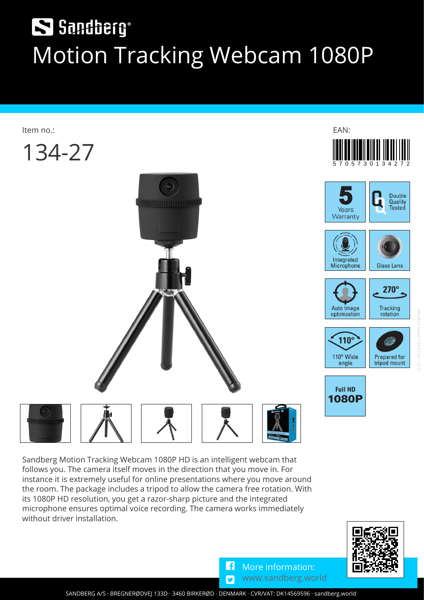# S Sandberg® **Motion Tracking Webcam 1080P**



**Sandberg Motion Tracking Webcam 1080P HD is an intelligent webcam that follows you. The camera itself moves in the direction that you move in. For instance it is extremely useful for online presentations where you move around the room. The package includes a tripod to allow the camera free rotation. With its 1080P HD resolution, you get a razor-sharp picture and the integrated microphone ensures optimal voice recording. The camera works immediately without driver installation.**



١f  $\overline{\mathbf{z}}$ **More information: [www.sandberg.world](https://sandberg.world)**